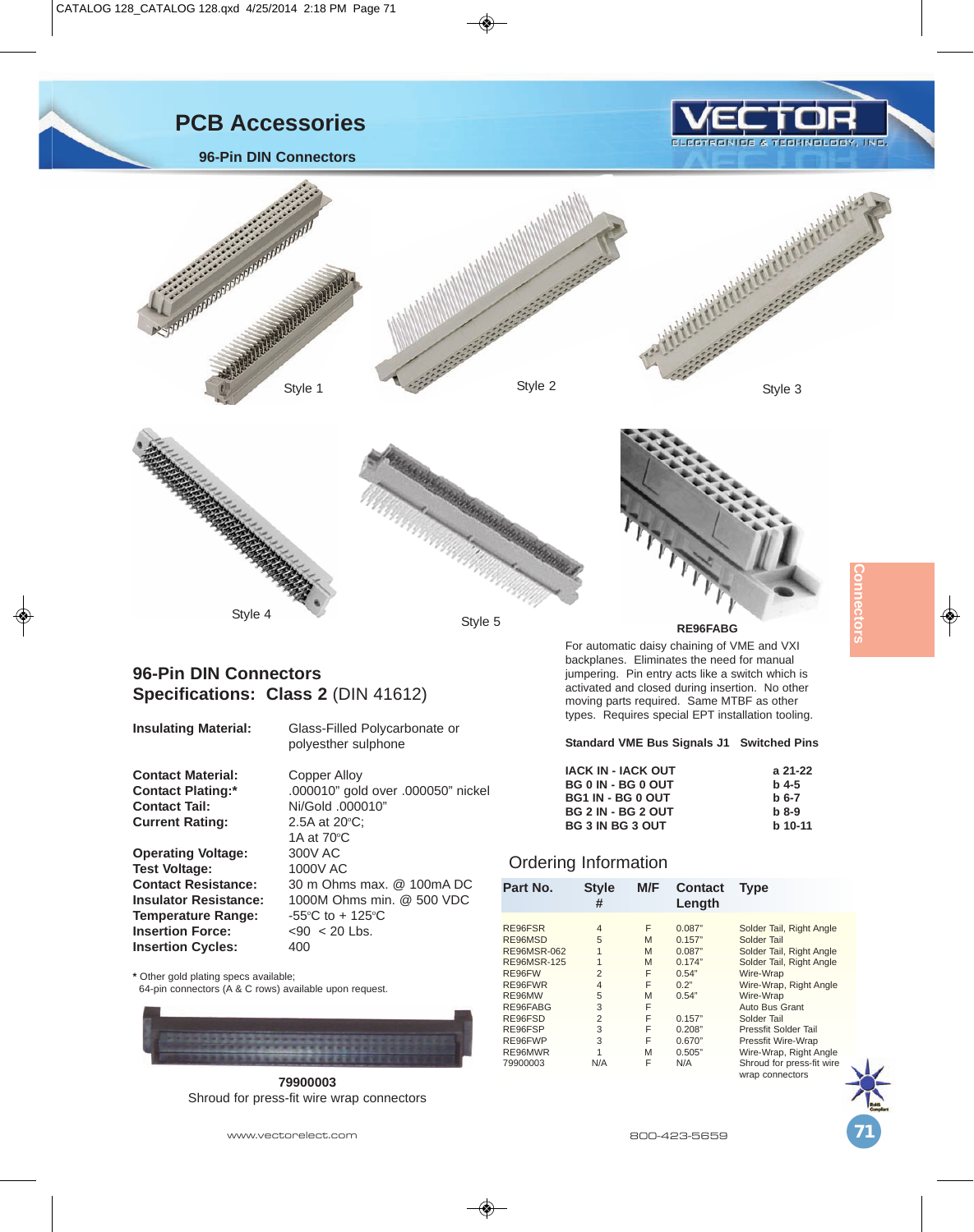



## **96-Pin DIN Connectors Specifications: Class 2** (DIN 41612)

**Insulating Material:** Glass-Filled Polycarbonate or polyesther sulphone

**Contact Material:** Copper Alloy<br> **Contact Plating:**  $*$  .000010" gold **Contact Tail:** Ni/Gold .000010" **Current Rating:** 

**Operating Voltage:** 300V AC<br>Test Voltage: 1000V AC **Test Voltage: Temperature Range: Insertion Force:**  $\leq 90 \leq 20$  Lbs.<br>**Insertion Cycles:** 400 **Insertion Cycles:** 

**Contact Plating:\*** .000010" gold over .000050" nickel 2.5A at 20°C; 1A at  $70^{\circ}$ C

**Contact Resistance:** 30 m Ohms max. @ 100mA DC **Insulator Resistance:** 1000M Ohms min. @ 500 VDC C to  $+125$ °C

**\*** Other gold plating specs available;

64-pin connectors (A & C rows) available upon request.



**79900003** Shroud for press-fit wire wrap connectors

jumpering. Pin entry acts like a switch which is activated and closed during insertion. No other moving parts required. Same MTBF as other types. Requires special EPT installation tooling. ◈

## **Standard VME Bus Signals J1 Switched Pins**

| <b>IACK IN - IACK OUT</b> | a 21-22   |
|---------------------------|-----------|
| <b>BG 0 IN - BG 0 OUT</b> | $h$ 4-5   |
| <b>BG1 IN - BG 0 OUT</b>  | $b6-7$    |
| <b>BG 2 IN - BG 2 OUT</b> | $h$ 8-9   |
| <b>BG 3 IN BG 3 OUT</b>   | $b$ 10-11 |

## Ordering Information

| Part No.           | <b>Style</b><br># | M/F | <b>Contact</b><br>Length | Type                                         |
|--------------------|-------------------|-----|--------------------------|----------------------------------------------|
| RE96FSR            | $\overline{4}$    | F   | 0.087"                   | Solder Tail, Right Angle                     |
| RE96MSD            | 5                 | M   | 0.157"                   | Solder Tail                                  |
| <b>RE96MSR-062</b> | 1                 | M   | 0.087"                   | Solder Tail, Right Angle                     |
| <b>RE96MSR-125</b> | 1                 | M   | 0.174"                   | Solder Tail, Right Angle                     |
| RE96FW             | $\overline{2}$    | F   | 0.54"                    | Wire-Wrap                                    |
| RE96FWR            | $\overline{4}$    | F   | 0.2"                     | Wire-Wrap, Right Angle                       |
| RE96MW             | 5                 | M   | 0.54"                    | Wire-Wrap                                    |
| RE96FABG           | 3                 | F   |                          | Auto Bus Grant                               |
| RE96FSD            | $\overline{2}$    | F   | 0.157"                   | Solder Tail                                  |
| RE96FSP            | 3                 | F   | 0.208"                   | Pressfit Solder Tail                         |
| RE96FWP            | 3                 | F   | 0.670"                   | Pressfit Wire-Wrap                           |
| RE96MWR            | 1                 | M   | 0.505"                   | Wire-Wrap, Right Angle                       |
| 79900003           | N/A               | F   | N/A                      | Shroud for press-fit wire<br>wrap connectors |